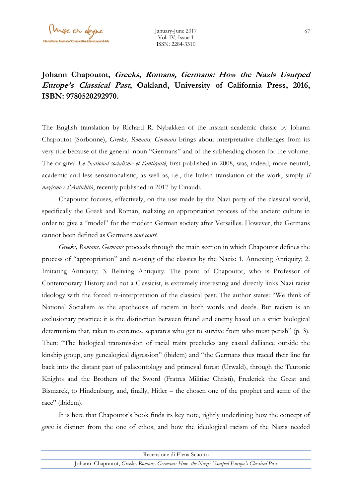## **Johann Chapoutot, Greeks, Romans, Germans: How the Nazis Usurped Europe's Classical Past, Oakland, University of California Press, 2016, ISBN: 9780520292970.**

The English translation by Richard R. Nybakken of the instant academic classic by Johann Chapoutot (Sorbonne), *Greeks, Romans, Germans* brings about interpretative challenges from its very title because of the general noun "Germans" and of the subheading chosen for the volume. The original *Le National-socialisme et l'antiquité*, first published in 2008, was, indeed, more neutral, academic and less sensationalistic, as well as, i.e., the Italian translation of the work, simply *Il nazismo e l'Antichità*, recently published in 2017 by Einaudi.

Chapoutot focuses, effectively, on the use made by the Nazi party of the classical world, specifically the Greek and Roman, realizing an appropriation process of the ancient culture in order to give a "model" for the modern German society after Versailles. However, the Germans cannot been defined as Germans *tout court*.

*Greeks, Romans, Germans* proceeds through the main section in which Chapoutot defines the process of "appropriation" and re-using of the classics by the Nazis: 1. Annexing Antiquity; 2. Imitating Antiquity; 3. Reliving Antiquity. The point of Chapoutot, who is Professor of Contemporary History and not a Classicist, is extremely interesting and directly links Nazi racist ideology with the forced re-interpretation of the classical past. The author states: "We think of National Socialism as the apotheosis of racism in both words and deeds. But racism is an exclusionary practice: it is the distinction between friend and enemy based on a strict biological determinism that, taken to extremes, separates who get to survive from who must perish" (p. 3). Then: "The biological transmission of racial traits precludes any casual dalliance outside the kinship group, any genealogical digression" (ibidem) and "the Germans thus traced their line far back into the distant past of palaeontology and primeval forest (Urwald), through the Teutonic Knights and the Brothers of the Sword (Fratres Militiae Christi), Frederick the Great and Bismarck, to Hindenburg, and, finally, Hitler – the chosen one of the prophet and acme of the race" (ibidem).

It is here that Chapoutot's book finds its key note, rightly underlining how the concept of *genos* is distinct from the one of ethos, and how the ideological racism of the Nazis needed

| Recensione di Elena Scuotto                                                              |  |
|------------------------------------------------------------------------------------------|--|
| Johann Chapoutot, Greeks, Romans, Germans: How the Nazis Usurped Europe's Classical Past |  |